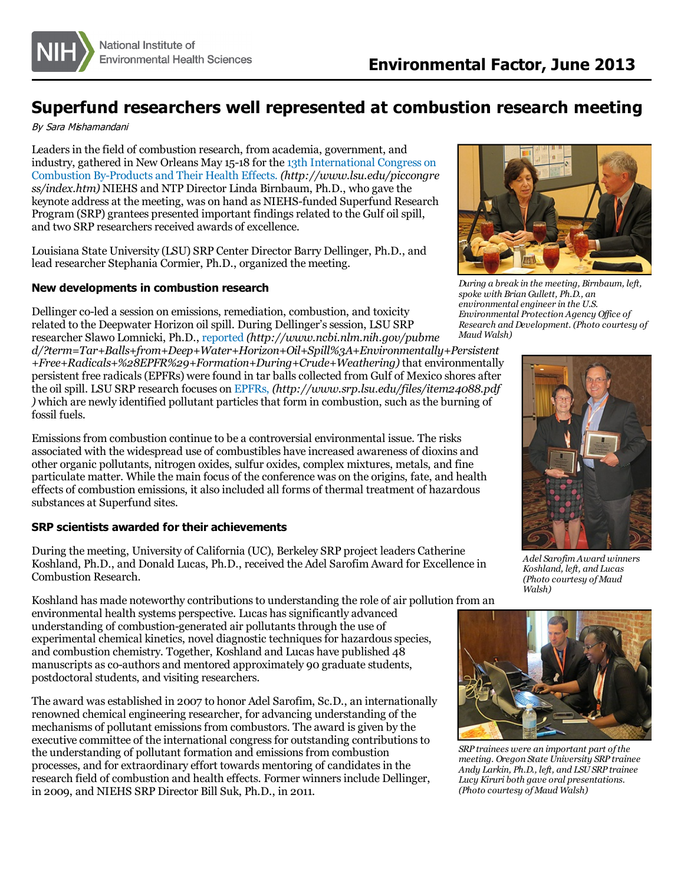

## **Superfund researchers well represented at combustion research meeting**

By Sara Mishamandani

Leaders in the field of combustion research, from academia, government, and industry, gathered in New Orleans May 15-18 for the 13th International Congress on Combustion By-Products and Their Health Effects. *[\(http://www.lsu.edu/piccongre](http://www.lsu.edu/piccongress/index.htm) ss/index.htm)* NIEHS and NTP Director Linda Birnbaum, Ph.D., who gave the keynote address at the meeting, was on hand as NIEHS-funded Superfund Research Program (SRP) grantees presented important findings related to the Gulf oil spill, and two SRP researchers received awards of excellence.

Louisiana State University (LSU) SRP Center Director Barry Dellinger, Ph.D., and lead researcher Stephania Cormier, Ph.D., organized the meeting.

## **New developments in combustion research**

Dellinger co-led a session on emissions, remediation, combustion, and toxicity related to the Deepwater Horizon oil spill. During Dellinger's session, LSU SRP researcher Slawo Lomnicki, Ph.D., [reported](http://www.ncbi.nlm.nih.gov/pubmed/?term=Tar+Balls+from+Deep+Water+Horizon+Oil+Spill%3A+Environmentally+Persistent+Free+Radicals+%28EPFR%29+Formation+During+Crude+Weathering) *(http://www.ncbi.nlm.nih.gov/pubme*

*d/?term=Tar+Balls+from+Deep+Water+Horizon+Oil+Spill%3A+Environmentally+Persistent +Free+Radicals+%28EPFR%29+Formation+During+Crude+Weathering)* that environmentally persistent free radicals (EPFRs) were found in tar balls collected from Gulf of Mexico shores after the oil spill. LSU SRP research focuses on [EPFRs,](http://www.srp.lsu.edu/files/item24088.pdf) *(http://www.srp.lsu.edu/files/item24088.pdf [\)](http://www.srp.lsu.edu/files/item24088.pdf)* which are newly identified pollutant particlesthat form in combustion, such asthe burning of fossil fuels.

Emissionsfrom combustion continue to be a controversial environmental issue. The risks associated with the widespread use of combustibles have increased awareness of dioxins and other organic pollutants, nitrogen oxides, sulfur oxides, complex mixtures, metals, and fine particulate matter. While the main focus of the conference was on the origins, fate, and health effects of combustion emissions, it also included all forms of thermal treatment of hazardous substances at Superfund sites.

## **SRP scientists awarded for their achievements**

During the meeting, University of California (UC), Berkeley SRP project leaders Catherine Koshland, Ph.D., and Donald Lucas, Ph.D., received the Adel Sarofim Award for Excellence in Combustion Research.

Koshland has made noteworthy contributionsto understanding the role of air pollution from an environmental health systems perspective. Lucas hassignificantly advanced

understanding of combustion-generated air pollutants through the use of experimental chemical kinetics, novel diagnostic techniques for hazardous species, and combustion chemistry. Together, Koshland and Lucas have published 48 manuscripts as co-authors and mentored approximately 90 graduate students, postdoctoral students, and visiting researchers.

The award was established in 2007 to honor Adel Sarofim, Sc.D., an internationally renowned chemical engineering researcher, for advancing understanding of the mechanisms of pollutant emissionsfrom combustors. The award is given by the executive committee of the international congressfor outstanding contributionsto the understanding of pollutant formation and emissions from combustion processes, and for extraordinary effort towards mentoring of candidatesin the research field of combustion and health effects. Former winnersinclude Dellinger, in 2009, and NIEHS SRP Director Bill Suk, Ph.D., in 2011.



*During a break in the meeting, Birnbaum, left, spoke with Brian Gullett, Ph.D., an environmental engineer in the U.S. Environmental Protection Agency Of ice of Research and Development. (Photo courtesy of Maud Walsh)*



*Adel Sarofim Award winners Koshland, left, and Lucas (Photo courtesy of Maud Walsh)*



*SRP trainees were an important part ofthe meeting. Oregon State University SRP trainee Andy Larkin, Ph.D., left, and LSUSRP trainee Lucy Kiruri both gave oral presentations. (Photo courtesy of Maud Walsh)*